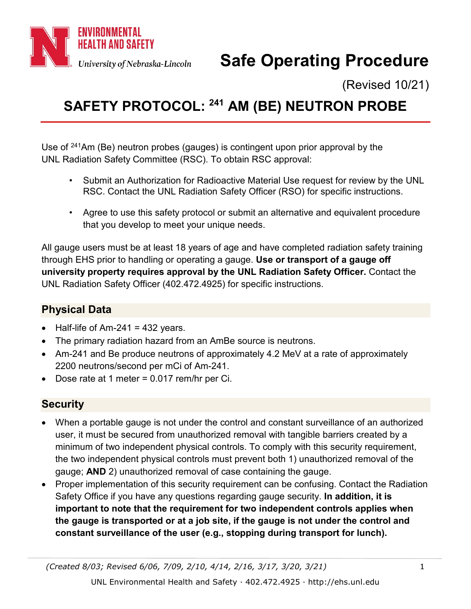

# **Safe Operating Procedure**

(Revised 10/21)

## <span id="page-0-0"></span>**SAFETY PROTOCOL: <sup>241</sup> AM (BE) NEUTRON PROBE**

Use of <sup>241</sup>Am (Be) neutron probes (gauges) is contingent upon prior approval by the UNL Radiation Safety Committee (RSC). To obtain RSC approval:

- Submit an Authorization for Radioactive Material Use request for review by the UNL RSC. Contact the UNL Radiation Safety Officer (RSO) for specific instructions.
- Agree to use this safety protocol or submit an alternative and equivalent procedure that you develop to meet your unique needs.

All gauge users must be at least 18 years of age and have completed radiation safety training through EHS prior to handling or operating a gauge. **Use or transport of a gauge off university property requires approval by the UNL Radiation Safety Officer.** Contact the UNL Radiation Safety Officer (402.472.4925) for specific instructions.

### **Physical Data**

- Half-life of Am-241 = 432 years.
- The primary radiation hazard from an AmBe source is neutrons.
- Am-241 and Be produce neutrons of approximately 4.2 MeV at a rate of approximately 2200 neutrons/second per mCi of Am-241.
- Dose rate at 1 meter = 0.017 rem/hr per Ci.

### **Security**

- When a portable gauge is not under the control and constant surveillance of an authorized user, it must be secured from unauthorized removal with tangible barriers created by a minimum of two independent physical controls. To comply with this security requirement, the two independent physical controls must prevent both 1) unauthorized removal of the gauge; **AND** 2) unauthorized removal of case containing the gauge.
- Proper implementation of this security requirement can be confusing. Contact the Radiation Safety Office if you have any questions regarding gauge security. **In addition, it is important to note that the requirement for two independent controls applies when the gauge is transported or at a job site, if the gauge is not under the control and constant surveillance of the user (e.g., stopping during transport for lunch).**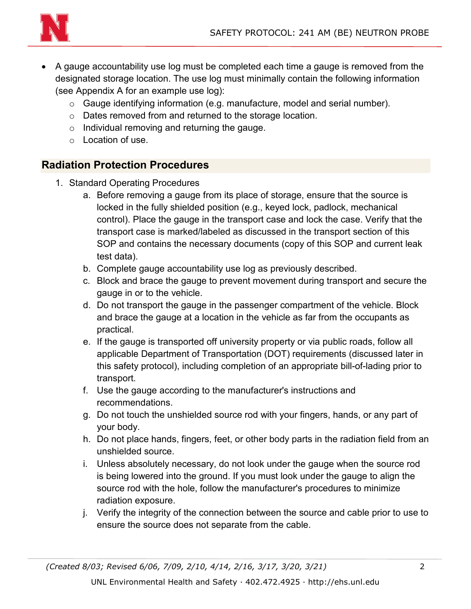

- A gauge accountability use log must be completed each time a gauge is removed from the designated storage location. The use log must minimally contain the following information (see Appendix A for an example use log):
	- o Gauge identifying information (e.g. manufacture, model and serial number).
	- o Dates removed from and returned to the storage location.
	- o Individual removing and returning the gauge.
	- o Location of use.

### **Radiation Protection Procedures**

- 1. Standard Operating Procedures
	- a. Before removing a gauge from its place of storage, ensure that the source is locked in the fully shielded position (e.g., keyed lock, padlock, mechanical control). Place the gauge in the transport case and lock the case. Verify that the transport case is marked/labeled as discussed in the transport section of this SOP and contains the necessary documents (copy of this SOP and current leak test data).
	- b. Complete gauge accountability use log as previously described.
	- c. Block and brace the gauge to prevent movement during transport and secure the gauge in or to the vehicle.
	- d. Do not transport the gauge in the passenger compartment of the vehicle. Block and brace the gauge at a location in the vehicle as far from the occupants as practical.
	- e. If the gauge is transported off university property or via public roads, follow all applicable Department of Transportation (DOT) requirements (discussed later in this safety protocol), including completion of an appropriate bill-of-lading prior to transport.
	- f. Use the gauge according to the manufacturer's instructions and recommendations.
	- g. Do not touch the unshielded source rod with your fingers, hands, or any part of your body.
	- h. Do not place hands, fingers, feet, or other body parts in the radiation field from an unshielded source.
	- i. Unless absolutely necessary, do not look under the gauge when the source rod is being lowered into the ground. If you must look under the gauge to align the source rod with the hole, follow the manufacturer's procedures to minimize radiation exposure.
	- j. Verify the integrity of the connection between the source and cable prior to use to ensure the source does not separate from the cable.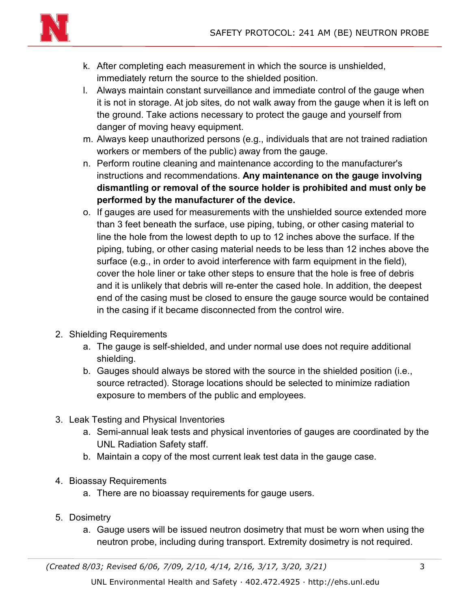

- k. After completing each measurement in which the source is unshielded, immediately return the source to the shielded position.
- l. Always maintain constant surveillance and immediate control of the gauge when it is not in storage. At job sites, do not walk away from the gauge when it is left on the ground. Take actions necessary to protect the gauge and yourself from danger of moving heavy equipment.
- m. Always keep unauthorized persons (e.g., individuals that are not trained radiation workers or members of the public) away from the gauge.
- n. Perform routine cleaning and maintenance according to the manufacturer's instructions and recommendations. **Any maintenance on the gauge involving dismantling or removal of the source holder is prohibited and must only be performed by the manufacturer of the device.**
- o. If gauges are used for measurements with the unshielded source extended more than 3 feet beneath the surface, use piping, tubing, or other casing material to line the hole from the lowest depth to up to 12 inches above the surface. If the piping, tubing, or other casing material needs to be less than 12 inches above the surface (e.g., in order to avoid interference with farm equipment in the field), cover the hole liner or take other steps to ensure that the hole is free of debris and it is unlikely that debris will re-enter the cased hole. In addition, the deepest end of the casing must be closed to ensure the gauge source would be contained in the casing if it became disconnected from the control wire.
- 2. Shielding Requirements
	- a. The gauge is self-shielded, and under normal use does not require additional shielding.
	- b. Gauges should always be stored with the source in the shielded position (i.e., source retracted). Storage locations should be selected to minimize radiation exposure to members of the public and employees.
- 3. Leak Testing and Physical Inventories
	- a. Semi-annual leak tests and physical inventories of gauges are coordinated by the UNL Radiation Safety staff.
	- b. Maintain a copy of the most current leak test data in the gauge case.
- 4. Bioassay Requirements
	- a. There are no bioassay requirements for gauge users.
- 5. Dosimetry
	- a. Gauge users will be issued neutron dosimetry that must be worn when using the neutron probe, including during transport. Extremity dosimetry is not required.

*(Created 8/03; Revised 6/06, 7/09, 2/10, 4/14, 2/16, 3/17, 3/20, 3/21)* 3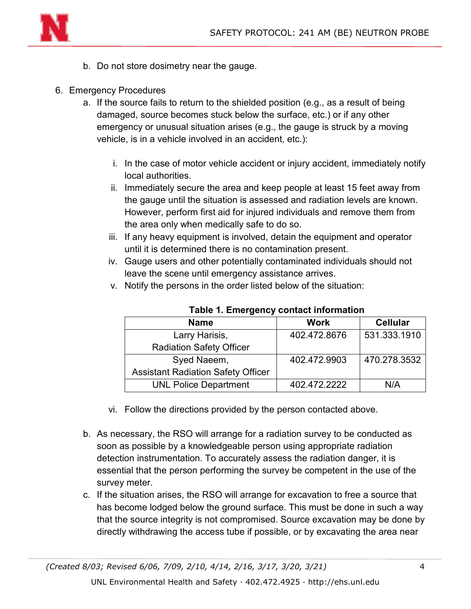

- b. Do not store dosimetry near the gauge.
- 6. Emergency Procedures
	- a. If the source fails to return to the shielded position (e.g., as a result of being damaged, source becomes stuck below the surface, etc.) or if any other emergency or unusual situation arises (e.g., the gauge is struck by a moving vehicle, is in a vehicle involved in an accident, etc.):
		- i. In the case of motor vehicle accident or injury accident, immediately notify local authorities.
		- ii. Immediately secure the area and keep people at least 15 feet away from the gauge until the situation is assessed and radiation levels are known. However, perform first aid for injured individuals and remove them from the area only when medically safe to do so.
		- iii. If any heavy equipment is involved, detain the equipment and operator until it is determined there is no contamination present.
		- iv. Gauge users and other potentially contaminated individuals should not leave the scene until emergency assistance arrives.
		- v. Notify the persons in the order listed below of the situation:

| <b>Name</b>                               | <b>Work</b>  | <b>Cellular</b> |  |
|-------------------------------------------|--------------|-----------------|--|
| Larry Harisis,                            | 402.472.8676 | 531.333.1910    |  |
| <b>Radiation Safety Officer</b>           |              |                 |  |
| Syed Naeem,                               | 402.472.9903 | 470.278.3532    |  |
| <b>Assistant Radiation Safety Officer</b> |              |                 |  |
| <b>UNL Police Department</b>              | 402.472.2222 | N/A             |  |

**Table 1. Emergency contact information**

- vi. Follow the directions provided by the person contacted above.
- b. As necessary, the RSO will arrange for a radiation survey to be conducted as soon as possible by a knowledgeable person using appropriate radiation detection instrumentation. To accurately assess the radiation danger, it is essential that the person performing the survey be competent in the use of the survey meter.
- c. If the situation arises, the RSO will arrange for excavation to free a source that has become lodged below the ground surface. This must be done in such a way that the source integrity is not compromised. Source excavation may be done by directly withdrawing the access tube if possible, or by excavating the area near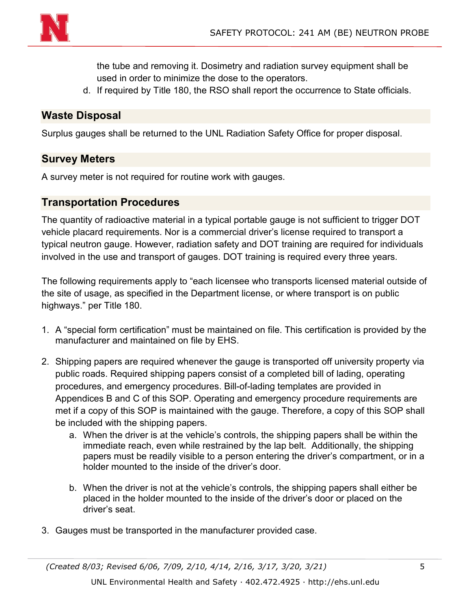

the tube and removing it. Dosimetry and radiation survey equipment shall be used in order to minimize the dose to the operators.

d. If required by Title 180, the RSO shall report the occurrence to State officials.

#### **Waste Disposal**

Surplus gauges shall be returned to the UNL Radiation Safety Office for proper disposal.

#### **Survey Meters**

A survey meter is not required for routine work with gauges.

#### **Transportation Procedures**

The quantity of radioactive material in a typical portable gauge is not sufficient to trigger DOT vehicle placard requirements. Nor is a commercial driver's license required to transport a typical neutron gauge. However, radiation safety and DOT training are required for individuals involved in the use and transport of gauges. DOT training is required every three years.

The following requirements apply to "each licensee who transports licensed material outside of the site of usage, as specified in the Department license, or where transport is on public highways." per Title 180.

- 1. A "special form certification" must be maintained on file. This certification is provided by the manufacturer and maintained on file by EHS.
- 2. Shipping papers are required whenever the gauge is transported off university property via public roads. Required shipping papers consist of a completed bill of lading, operating procedures, and emergency procedures. Bill-of-lading templates are provided in Appendices B and C of this SOP. Operating and emergency procedure requirements are met if a copy of this SOP is maintained with the gauge. Therefore, a copy of this SOP shall be included with the shipping papers.
	- a. When the driver is at the vehicle's controls, the shipping papers shall be within the immediate reach, even while restrained by the lap belt. Additionally, the shipping papers must be readily visible to a person entering the driver's compartment, or in a holder mounted to the inside of the driver's door.
	- b. When the driver is not at the vehicle's controls, the shipping papers shall either be placed in the holder mounted to the inside of the driver's door or placed on the driver's seat.
- 3. Gauges must be transported in the manufacturer provided case.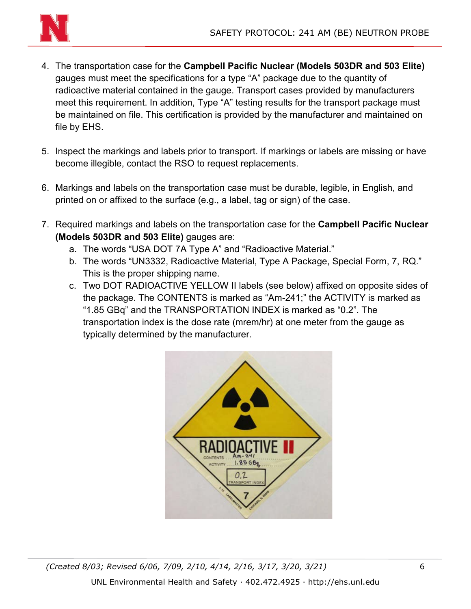

- 4. The transportation case for the **Campbell Pacific Nuclear (Models 503DR and 503 Elite)** gauges must meet the specifications for a type "A" package due to the quantity of radioactive material contained in the gauge. Transport cases provided by manufacturers meet this requirement. In addition, Type "A" testing results for the transport package must be maintained on file. This certification is provided by the manufacturer and maintained on file by EHS.
- 5. Inspect the markings and labels prior to transport. If markings or labels are missing or have become illegible, contact the RSO to request replacements.
- 6. Markings and labels on the transportation case must be durable, legible, in English, and printed on or affixed to the surface (e.g., a label, tag or sign) of the case.
- 7. Required markings and labels on the transportation case for the **Campbell Pacific Nuclear (Models 503DR and 503 Elite)** gauges are:
	- a. The words "USA DOT 7A Type A" and "Radioactive Material."
	- b. The words "UN3332, Radioactive Material, Type A Package, Special Form, 7, RQ." This is the proper shipping name.
	- c. Two DOT RADIOACTIVE YELLOW II labels (see below) affixed on opposite sides of the package. The CONTENTS is marked as "Am-241;" the ACTIVITY is marked as "1.85 GBq" and the TRANSPORTATION INDEX is marked as "0.2". The transportation index is the dose rate (mrem/hr) at one meter from the gauge as typically determined by the manufacturer.

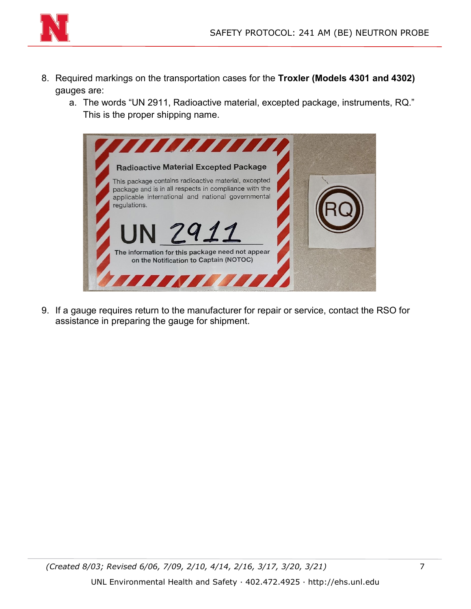

- 8. Required markings on the transportation cases for the **Troxler (Models 4301 and 4302)** gauges are:
	- a. The words "UN 2911, Radioactive material, excepted package, instruments, RQ." This is the proper shipping name.



9. If a gauge requires return to the manufacturer for repair or service, contact the RSO for assistance in preparing the gauge for shipment.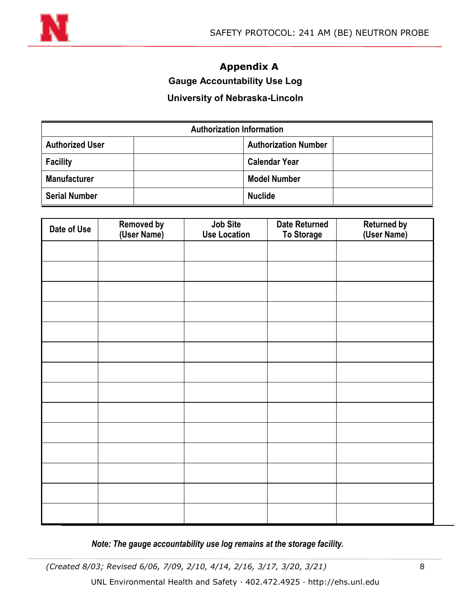

## **Appendix A**

### **Gauge Accountability Use Log**

#### **University of Nebraska-Lincoln**

| <b>Authorization Information</b> |  |                             |  |
|----------------------------------|--|-----------------------------|--|
| <b>Authorized User</b>           |  | <b>Authorization Number</b> |  |
| <b>Facility</b>                  |  | <b>Calendar Year</b>        |  |
| <b>Manufacturer</b>              |  | <b>Model Number</b>         |  |
| <b>Serial Number</b>             |  | <b>Nuclide</b>              |  |

| Date of Use | <b>Removed by (User Name)</b> | Job Site<br><b>Use Location</b> | <b>Date Returned</b><br><b>To Storage</b> | <b>Returned by (User Name)</b> |
|-------------|-------------------------------|---------------------------------|-------------------------------------------|--------------------------------|
|             |                               |                                 |                                           |                                |
|             |                               |                                 |                                           |                                |
|             |                               |                                 |                                           |                                |
|             |                               |                                 |                                           |                                |
|             |                               |                                 |                                           |                                |
|             |                               |                                 |                                           |                                |
|             |                               |                                 |                                           |                                |
|             |                               |                                 |                                           |                                |
|             |                               |                                 |                                           |                                |
|             |                               |                                 |                                           |                                |
|             |                               |                                 |                                           |                                |
|             |                               |                                 |                                           |                                |
|             |                               |                                 |                                           |                                |
|             |                               |                                 |                                           |                                |

*Note: The gauge accountability use log remains at the storage facility.*

*(Created 8/03; Revised 6/06, 7/09, 2/10, 4/14, 2/16, 3/17, 3/20, 3/21)* 8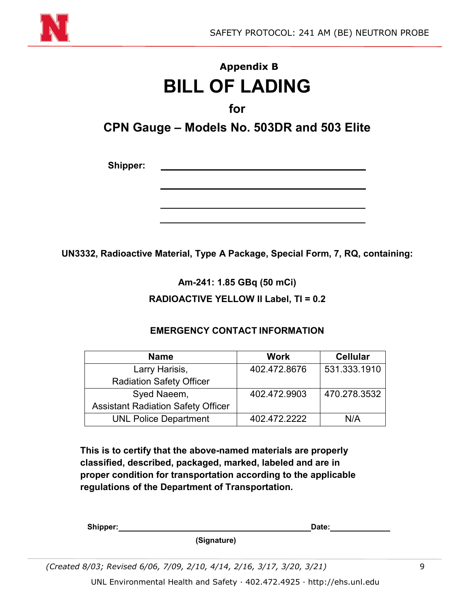

## **Appendix B BILL OF LADING**

**for**

**CPN Gauge – Models No. 503DR and 503 Elite**

**Shipper:**

**UN3332, Radioactive Material, Type A Package, Special Form, 7, RQ, containing:**

**Am-241: 1.85 GBq (50 mCi)**

**RADIOACTIVE YELLOW II Label, TI = 0.2**

**Name Work Cellular** Larry Harisis, Radiation Safety Officer 402.472.8676 531.333.1910 Syed Naeem, Assistant Radiation Safety Officer 402.472.9903 470.278.3532 UNL Police Department | 402.472.2222 | N/A

**EMERGENCY CONTACT INFORMATION**

**This is to certify that the above-named materials are properly classified, described, packaged, marked, labeled and are in proper condition for transportation according to the applicable regulations of the Department of Transportation.**

| Shipper: | Date: |  |
|----------|-------|--|
|          |       |  |

**(Signature)**

*(Created 8/03; Revised 6/06, 7/09, 2/10, 4/14, 2/16, 3/17, 3/20, 3/21)* 9